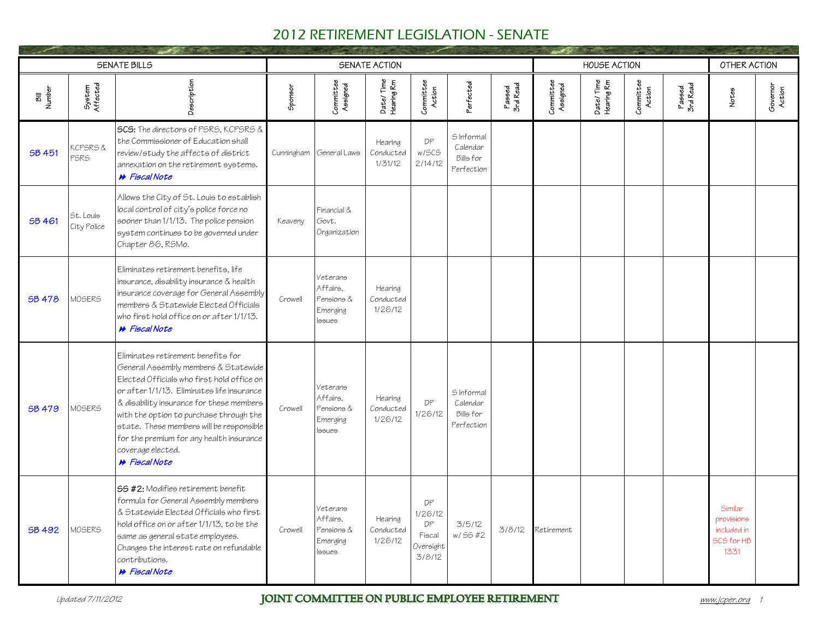|                |                          | <b>SENATE BILLS</b>                                                                                                                                                                                                                                                                                                                                                                                       |         |                                                          | SENATE ACTION                   |                                                      |                                                   |                    |                       | <b>HOUSE ACTION</b>     |                     |                    | OTHER ACTION                                               |                    |
|----------------|--------------------------|-----------------------------------------------------------------------------------------------------------------------------------------------------------------------------------------------------------------------------------------------------------------------------------------------------------------------------------------------------------------------------------------------------------|---------|----------------------------------------------------------|---------------------------------|------------------------------------------------------|---------------------------------------------------|--------------------|-----------------------|-------------------------|---------------------|--------------------|------------------------------------------------------------|--------------------|
| Bill<br>Number | System<br>Affected       | Description                                                                                                                                                                                                                                                                                                                                                                                               | Sponsor | Committee<br>Assigned                                    | Date/Time<br>Hearing Rm         | Committee<br>Action                                  | <sup>2</sup> erfected                             | Passed<br>3rd Read | Committee<br>Assigned | Date/Time<br>Hearing Rm | Committee<br>Action | Passed<br>3rd Read | Notes                                                      | Governor<br>Action |
| <b>SB 451</b>  | KCPSRS &<br>PSRS         | <b>SCS:</b> The directors of PSRS, KCPSRS &<br>the Commissioner of Education shall<br>review/study the affects of district<br>annexation on the retirement systems.<br><b>&gt;&gt;</b> Fiscal Note                                                                                                                                                                                                        |         | Cunningham General Laws                                  | Hearing<br>Conducted<br>1/31/12 | DP<br>w/SCS<br>2/14/12                               | S Informal<br>Calendar<br>Bills for<br>Perfection |                    |                       |                         |                     |                    |                                                            |                    |
| SB 461         | St. Louis<br>City Police | Allows the City of St. Louis to establish<br>local control of city's police force no<br>sooner than 1/1/13. The police pension<br>system continues to be governed under<br>Chapter 86, RSMo.                                                                                                                                                                                                              | Keaveny | Financial &<br>Govt.<br>Organization                     |                                 |                                                      |                                                   |                    |                       |                         |                     |                    |                                                            |                    |
| <b>SB 478</b>  | MOSERS                   | Eliminates retirement benefits, life<br>insurance, disability insurance & health<br>insurance coverage for General Assembly<br>members & Statewide Elected Officials<br>who first hold office on or after 1/1/13.<br>A Fiscal Note                                                                                                                                                                        | Crowell | Veterans<br>Affairs,<br>Pensions &<br>Emerging<br>lssues | Hearing<br>Conducted<br>1/26/12 |                                                      |                                                   |                    |                       |                         |                     |                    |                                                            |                    |
| <b>SB 479</b>  | MOSERS                   | Eliminates retirement benefits for<br>General Assembly members & Statewide<br>Elected Officials who first hold office on<br>or after 1/1/13. Eliminates life insurance<br>& disability insurance for these members<br>with the option to purchase through the<br>state. These members will be responsible<br>for the premium for any health insurance<br>coverage elected.<br><b>&gt;&gt;</b> Fiscal Note | Crowell | Veterans<br>Affairs.<br>Pensions &<br>Emerging<br>lssues | Hearing<br>Conducted<br>1/26/12 | DP<br>1/26/12                                        | 5 Informal<br>Calendar<br>Bills for<br>Perfection |                    |                       |                         |                     |                    |                                                            |                    |
| <b>SB 492</b>  | MOSERS                   | 55 #2: Modifies retirement benefit<br>formula for General Assembly members<br>& Statewide Elected Officials who first<br>hold office on or after 1/1/13, to be the<br>same as general state employees.<br>Changes the interest rate on refundable<br>contributions.<br><b>N</b> Fiscal Note                                                                                                               | Crowell | Veterans<br>Affairs.<br>Pensions &<br>Emerging<br>lssues | Hearing<br>Conducted<br>1/26/12 | DP<br>1/26/12<br>DP<br>Fiscal<br>Oversight<br>3/8/12 | 3/5/12<br>w/ SS #2                                | 3/8/12             | Retirement            |                         |                     |                    | Similar<br>provisions<br>included in<br>SCS for HB<br>1331 |                    |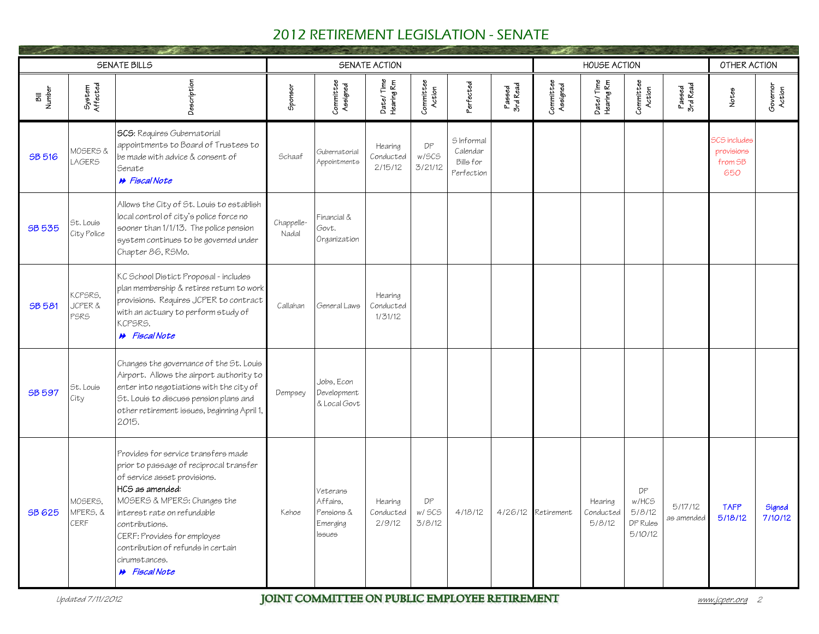|                |                                       | <b>SENATE BILLS</b>                                                                                                                                                                                                                                                                                                      |                     |                                                                 | SENATE ACTION                   |                        |                                                   |                    | <b>Sept of Section 1989</b> | <b>HOUSE ACTION</b>            |                                              |                       |                                                     | OTHER ACTION       |  |
|----------------|---------------------------------------|--------------------------------------------------------------------------------------------------------------------------------------------------------------------------------------------------------------------------------------------------------------------------------------------------------------------------|---------------------|-----------------------------------------------------------------|---------------------------------|------------------------|---------------------------------------------------|--------------------|-----------------------------|--------------------------------|----------------------------------------------|-----------------------|-----------------------------------------------------|--------------------|--|
| Bill<br>Number | System<br>Affected                    | Description                                                                                                                                                                                                                                                                                                              | Sponsor             | Committee<br>Assigned                                           | Date/Time<br>Hearing Rm         | Committee<br>Action    | Perfected                                         | Passed<br>3rd Read | Committee<br>Assigned       | Date/Time<br>Hearing Rm        | Committee<br>Action                          | Passed<br>3rd Read    | Notes                                               | Governor<br>Action |  |
| SB 516         | MOSERS &<br><b>AGERS</b>              | <b>SCS:</b> Requires Gubernatorial<br>appointments to Board of Trustees to<br>be made with advice & consent of<br>Senate<br><b>»</b> Fiscal Note                                                                                                                                                                         | Schaaf              | Gubernatorial<br>Appointments                                   | Hearing<br>Conducted<br>2/15/12 | DP<br>w/SCS<br>3/21/12 | S Informal<br>Calendar<br>Bills for<br>Perfection |                    |                             |                                |                                              |                       | <b>SCS includes</b><br>provisions<br>from SB<br>650 |                    |  |
| <b>SB 535</b>  | St. Louis<br>City Police              | Allows the City of St. Louis to establish<br>local control of city's police force no<br>sooner than 1/1/13. The police pension<br>system continues to be governed under<br>Chapter 86, RSMo.                                                                                                                             | Chappelle-<br>Nadal | Financial &<br>Govt.<br>Organization                            |                                 |                        |                                                   |                    |                             |                                |                                              |                       |                                                     |                    |  |
| SB 581         | KCPSRS,<br><b>JCPER &amp;</b><br>PSRS | KC School Distict Proposal - includes<br>plan membership & retiree return to work<br>provisions. Requires JCPER to contract<br>with an actuary to perform study of<br>KCPSRS.<br>A Fiscal Note                                                                                                                           | Callahan            | General Laws                                                    | Hearing<br>Conducted<br>1/31/12 |                        |                                                   |                    |                             |                                |                                              |                       |                                                     |                    |  |
| <b>SB 597</b>  | St. Louis<br>City                     | Changes the governance of the St. Louis<br>Airport. Allows the airport authority to<br>enter into negotiations with the city of<br>St. Louis to discuss pension plans and<br>other retirement issues, beginning April 1,<br>2015.                                                                                        | Dempsey             | Jobs, Econ<br>Development<br>& Local Govt                       |                                 |                        |                                                   |                    |                             |                                |                                              |                       |                                                     |                    |  |
| <b>SB 625</b>  | MOSERS.<br>MPERS, &<br><b>CERF</b>    | Provides for service transfers made<br>prior to passage of reciprocal transfer<br>of service asset provisions.<br>HCS as amended:<br>MOSERS & MPERS: Changes the<br>interest rate on refundable<br>contributions.<br>CERF: Provides for employee<br>contribution of refunds in certain<br>cirumstances.<br>A Fiscal Note | Kehoe               | <i>Veterans</i><br>Affairs.<br>Pensions &<br>Emerging<br>lssues | Hearing<br>Conducted<br>2/9/12  | DP<br>w/ SCS<br>3/8/12 | 4/18/12                                           |                    | 4/26/12 Retirement          | Hearing<br>Conducted<br>5/8/12 | DP<br>w/HCS<br>5/8/12<br>DP Rules<br>5/10/12 | 5/17/12<br>as amended | <b>TAFP</b><br>5/18/12                              | Signed<br>7/10/12  |  |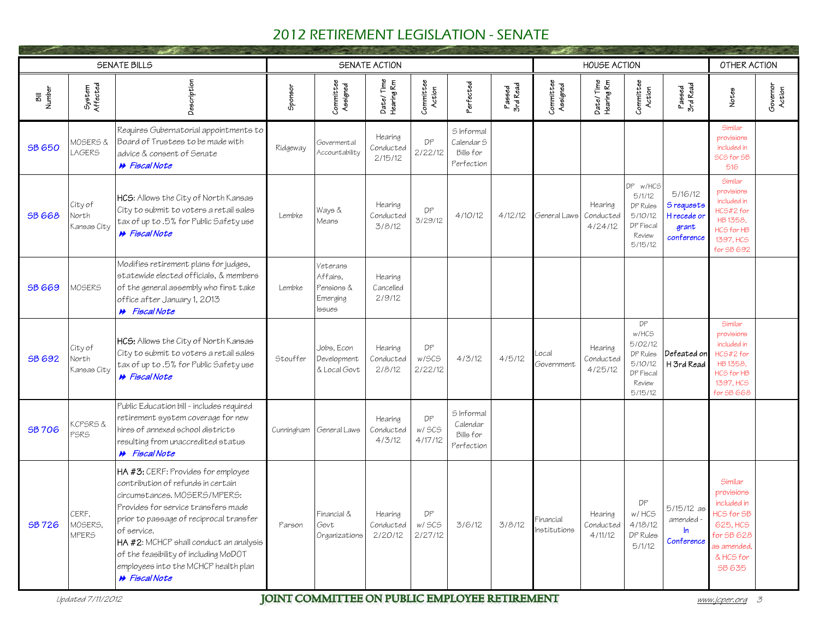|                |                                  | <b>SENATE BILLS</b>                                                                                                                                                                                                                                                                                                                                   |          |                                                                 | SENATE ACTION                   |                         |                                                     |                    |                           | <b>HOUSE ACTION</b>             |                                                                                 |                                                             | OTHER ACTION                                                                                                       |                    |
|----------------|----------------------------------|-------------------------------------------------------------------------------------------------------------------------------------------------------------------------------------------------------------------------------------------------------------------------------------------------------------------------------------------------------|----------|-----------------------------------------------------------------|---------------------------------|-------------------------|-----------------------------------------------------|--------------------|---------------------------|---------------------------------|---------------------------------------------------------------------------------|-------------------------------------------------------------|--------------------------------------------------------------------------------------------------------------------|--------------------|
| Bill<br>Number | System<br>Affected               | Description                                                                                                                                                                                                                                                                                                                                           | Sponsor  | Committee<br>Assigned                                           | Date/Time<br>Hearing Rm         | Committee<br>Action     | Perfected                                           | Passed<br>3rd Read | Committee<br>Assigned     | Date/Time<br>Hearing Rm         | Committee<br>Action                                                             | Passed<br>3rd Read                                          | Notes                                                                                                              | Governor<br>Action |
| <b>SB 650</b>  | MOSERS &<br>LAGERS               | Requires Gubernatorial appointments to<br>Board of Trustees to be made with<br>advice & consent of Senate<br>A Fiscal Note                                                                                                                                                                                                                            | Ridgeway | Govermental<br>Accountability                                   | Hearing<br>Conducted<br>2/15/12 | DP<br>2/22/12           | S Informal<br>Calendar S<br>Bills for<br>Perfection |                    |                           |                                 |                                                                                 |                                                             | Similar<br>provisions<br>included in<br>SCS for SB<br>516                                                          |                    |
| <b>SB 668</b>  | City of<br>North<br>Kansas City  | HCS: Allows the City of North Kansas<br>City to submit to voters a retail sales<br>tax of up to .5% for Public Safety use<br><b>»</b> Fiscal Note                                                                                                                                                                                                     | Lembke   | Ways &<br>Means                                                 | Hearing<br>Conducted<br>3/8/12  | DP<br>3/29/12           | 4/10/12                                             | 4/12/12            | General Laws              | Hearing<br>Conducted<br>4/24/12 | DP.<br>w/HCS<br>5/1/12<br>DP Rules<br>5/10/12<br>DP Fiscal<br>Review<br>5/15/12 | 5/16/12<br>S requests<br>H recede or<br>grant<br>conference | Similar<br>provisions<br>included in<br>HCS#2 for<br>HB 1358.<br>HCS for HB<br>1397, HCS<br>for SB 692             |                    |
| <b>SB 669</b>  | <b>MOSERS</b>                    | Modifies retirement plans for judges,<br>statewide elected officials, & members<br>of the general assembly who first take<br>office after January 1, 2013<br><b>»</b> Fiscal Note                                                                                                                                                                     | Lembke   | Veterans<br>Affairs.<br>Pensions &<br>Emerging<br><b>S</b> sues | Hearing<br>Cancelled<br>2/9/12  |                         |                                                     |                    |                           |                                 |                                                                                 |                                                             |                                                                                                                    |                    |
| SB 692         | City of<br>North<br>Kansas City  | HCS: Allows the City of North Kansas<br>City to submit to voters a retail sales<br>tax of up to .5% for Public Safety use<br><b>»</b> Fiscal Note                                                                                                                                                                                                     | Stouffer | Jobs, Econ<br>Development<br>& Local Govt                       | Hearing<br>Conducted<br>2/8/12  | DP<br>w/SCS<br>2/22/12  | 4/3/12                                              | 4/5/12             | _ocal<br>Government       | Hearing<br>Conducted<br>4/25/12 | DP<br>w/HCS<br>5/02/12<br>DP Rules<br>5/10/12<br>DP Fiscal<br>Review<br>5/15/12 | Defeated on<br>H 3rd Read                                   | Similar<br>provisions<br>included in<br>HCS#2 for<br>HB 1358.<br>HCS for HB<br>1397, HCS<br>for SB 668             |                    |
| <b>SB706</b>   | KCPSRS&<br>PSRS                  | Public Education bill - includes required<br>retirement system coverage for new<br>hires of annexed school districts<br>resulting from unaccredited status<br><b>N</b> Fiscal Note                                                                                                                                                                    |          | Cunningham General Laws                                         | Hearing<br>Conducted<br>4/3/12  | DP<br>w/SCS<br>4/17/12  | S Informal<br>Calendar<br>Bills for<br>Perfection   |                    |                           |                                 |                                                                                 |                                                             |                                                                                                                    |                    |
| <b>SB726</b>   | UEKH,<br>MOSERS,<br><b>MPERS</b> | HA #3: CERF: Provides for employee<br>contribution of refunds in certain<br>circumstances. MOSERS/MPERS:<br>Provides for service transfers made<br>prior to passage of reciprocal transfer<br>of service.<br>HA #2: MCHCP shall conduct an analysis<br>of the feasibility of including MoDOT<br>employees into the MCHCP health plan<br>A Fiscal Note | Parson   | Financial &<br>Govt<br>Organizations                            | Hearing<br>Conducted<br>2/20/12 | νr<br>w/ SCS<br>2/27/12 | 3/6/12                                              | 3/8/12             | Financial<br>Institutions | Hearing<br>Conducted<br>4/11/12 | DP<br>w/HCS<br>4/18/12<br>DP Rules<br>5/1/12                                    | 5/15/12 as<br>amended -<br>In.<br>Conference                | Similar<br>provisions<br>included in<br>HCS for SB<br>625, HCS<br>for 5B 628<br>as amended,<br>& HCS for<br>SB 635 |                    |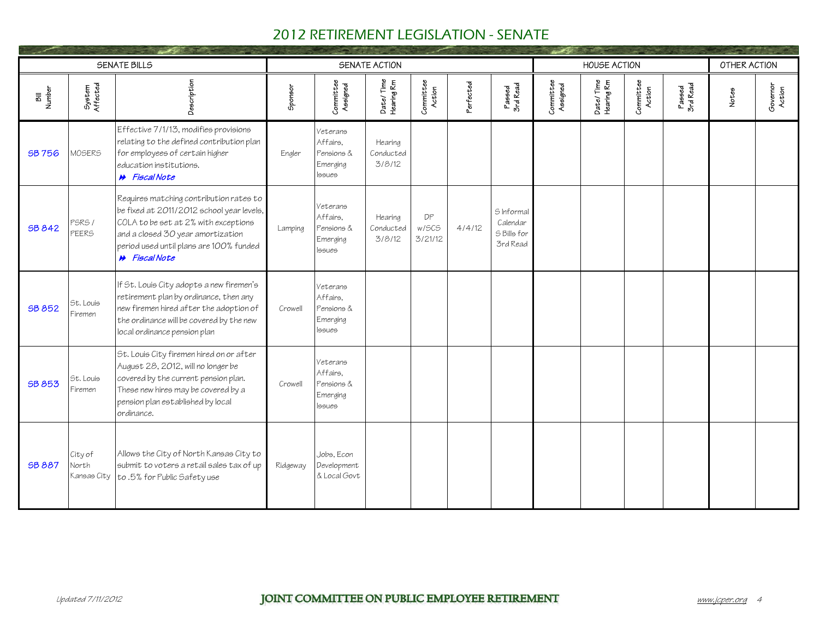|                |                                 | <b>SENATE BILLS</b>                                                                                                                                                                                                           |          |                                                          | SENATE ACTION                  |                        |           |                                                   |                       | <b>HOUSE ACTION</b>     |                     |                    | OTHER ACTION |                    |  |
|----------------|---------------------------------|-------------------------------------------------------------------------------------------------------------------------------------------------------------------------------------------------------------------------------|----------|----------------------------------------------------------|--------------------------------|------------------------|-----------|---------------------------------------------------|-----------------------|-------------------------|---------------------|--------------------|--------------|--------------------|--|
| Bill<br>Number | System<br>Affected              | Description                                                                                                                                                                                                                   | Sponsor  | Committee<br>Assigned                                    | Date/Time<br>Hearing Rm        | Committee<br>Action    | Perfected | Passed<br>3rd Read                                | Committee<br>Assigned | Date/Time<br>Hearing Rm | Committee<br>Action | Passed<br>3rd Read | Notes        | Governor<br>Action |  |
| <b>SB 756</b>  | MOSERS                          | Effective 7/1/13, modifies provisions<br>relating to the defined contribution plan<br>for employees of certain higher<br>education institutions.<br>A Fiscal Note                                                             | Engler   | Veterans<br>Affairs.<br>Pensions &<br>Emerging<br>lssues | Hearing<br>Conducted<br>3/8/12 |                        |           |                                                   |                       |                         |                     |                    |              |                    |  |
| <b>SB 842</b>  | PSRS /<br><b>PEERS</b>          | Requires matching contribution rates to<br>be fixed at 2011/2012 school year levels,<br>COLA to be set at 2% with exceptions<br>and a closed 30 year amortization<br>period used until plans are 100% funded<br>A Fiscal Note | Lamping  | Veterans<br>Affairs.<br>Pensions &<br>Emerging<br>lssues | Hearing<br>Conducted<br>3/8/12 | DP<br>w/SCS<br>3/21/12 | 4/4/12    | S Informal<br>Calendar<br>S Bills for<br>3rd Read |                       |                         |                     |                    |              |                    |  |
| <b>SB 852</b>  | St. Louis<br>Firemen            | If St. Louis City adopts a new firemen's<br>retirement plan by ordinance, then any<br>new firemen hired after the adoption of<br>the ordinance will be covered by the new<br>local ordinance pension plan                     | Crowell  | Veterans<br>Affairs.<br>Pensions &<br>Emerging<br>lssues |                                |                        |           |                                                   |                       |                         |                     |                    |              |                    |  |
| <b>SB 853</b>  | St. Louis<br>Firemen            | St. Louis City firemen hired on or after<br>August 28, 2012, will no longer be<br>covered by the current pension plan.<br>These new hires may be covered by a<br>pension plan established by local<br>ordinance.              | Crowell  | Veterans<br>Affairs.<br>Pensions &<br>Emerging<br>lssues |                                |                        |           |                                                   |                       |                         |                     |                    |              |                    |  |
| <b>SB 887</b>  | City of<br>North<br>Kansas City | Allows the City of North Kansas City to<br>submit to voters a retail sales tax of up<br>to .5% for Public Safety use                                                                                                          | Ridgeway | Jobs, Econ<br>Development<br>& Local Govt                |                                |                        |           |                                                   |                       |                         |                     |                    |              |                    |  |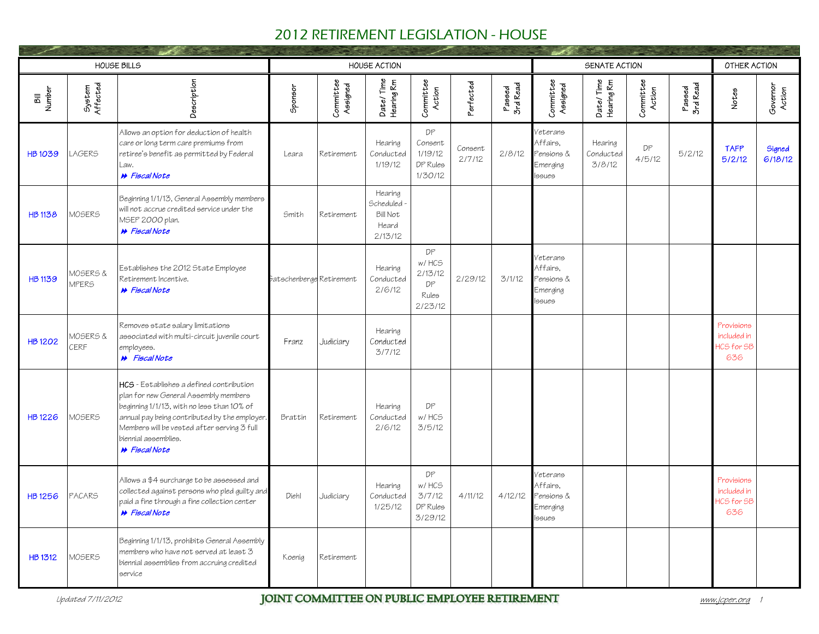|                |                          | <b>HOUSE BILLS</b>                                                                                                                                                                                                                                                              |                          |                       | <b>HOUSE ACTION</b>                                         |                                                  |                       |                    |                                                                 | SENATE ACTION                  |                     |                    | OTHER ACTION                                   |                    |  |
|----------------|--------------------------|---------------------------------------------------------------------------------------------------------------------------------------------------------------------------------------------------------------------------------------------------------------------------------|--------------------------|-----------------------|-------------------------------------------------------------|--------------------------------------------------|-----------------------|--------------------|-----------------------------------------------------------------|--------------------------------|---------------------|--------------------|------------------------------------------------|--------------------|--|
| Bill<br>Number | System<br>Affected       | Description                                                                                                                                                                                                                                                                     | Sponsor                  | Committee<br>Assigned | Date/Time<br>Hearing Rm                                     | Committee<br>Action                              | <sup>o</sup> erfected | Passed<br>3rd Read | Committee<br>Assigned                                           | Date/Time<br>Hearing Rm        | Committee<br>Action | Passed<br>3rd Read | Notes                                          | Governor<br>Action |  |
| <b>HB1039</b>  | <b>LAGERS</b>            | Allows an option for deduction of health<br>care or long term care premiums from<br>retiree's benefit as permitted by Federal<br>Law.<br><b>N</b> Fiscal Note                                                                                                                   | Leara                    | Retirement            | Hearing<br>Conducted<br>1/19/12                             | DP<br>Consent<br>1/19/12<br>DP Rules<br>1/30/12  | Consent<br>2/7/12     | 2/8/12             | <b>Veterans</b><br>Affairs.<br>Pensions &<br>Emerging<br>lssues | Hearing<br>Conducted<br>3/8/12 | DP<br>4/5/12        | 5/2/12             | <b>TAFP</b><br>5/2/12                          | Signed<br>6/18/12  |  |
| <b>HB1138</b>  | MOSERS                   | Beginning 1/1/13, General Assembly members<br>will not accrue credited service under the<br>MSEP 2000 plan.<br>A Fiscal Note                                                                                                                                                    | Smith                    | Retirement            | Hearing<br>Scheduled<br><b>Bill Not</b><br>Heard<br>2/13/12 |                                                  |                       |                    |                                                                 |                                |                     |                    |                                                |                    |  |
| <b>HB 1139</b> | MOSERS &<br><b>UPERS</b> | Establishes the 2012 State Employee<br>Retirement Incentive.<br>A Fiscal Note                                                                                                                                                                                                   | Gatschenberge Retirement |                       | Hearing<br>Conducted<br>2/6/12                              | DP<br>w/HCS<br>2/13/12<br>DP<br>Rules<br>2/23/12 | 2/29/12               | 3/1/12             | Veterans<br>Affairs.<br>Pensions &<br>Emerging<br>lssues        |                                |                     |                    |                                                |                    |  |
| <b>HB1202</b>  | MOSERS &<br>CERF         | Removes state salary limitations<br>associated with multi-circuit juvenile court<br>employees.<br><b>N</b> Fiscal Note                                                                                                                                                          | Franz                    | Judiciary             | Hearing<br>Conducted<br>3/7/12                              |                                                  |                       |                    |                                                                 |                                |                     |                    | Provisions<br>included in<br>HCS for SB<br>636 |                    |  |
| <b>HB1226</b>  | MOSERS                   | HCS - Establishes a defined contribution<br>plan for new General Assembly members<br>beginning 1/1/13, with no less than 10% of<br>annual pay being contributed by the employer.<br>Members will be vested after serving 3 full<br>biennial assemblies.<br><b>»</b> Fiscal Note | Brattin                  | Retirement            | Hearing<br>Conducted<br>2/6/12                              | DP<br>w/HCS<br>3/5/12                            |                       |                    |                                                                 |                                |                     |                    |                                                |                    |  |
| <b>HB1256</b>  | <b>PACARS</b>            | Allows a \$4 surcharge to be assessed and<br>collected against persons who pled guilty and<br>paid a fine through a fine collection center<br><b>N</b> Fiscal Note                                                                                                              | Diehl                    | Judiciary             | Hearing<br>Conducted<br>1/25/12                             | DP<br>w/HCS<br>3/7/12<br>DP Rules<br>3/29/12     | 4/11/12               | 4/12/12            | <i>Veterans</i><br>Affairs.<br>Pensions &<br>Emerging<br>lssues |                                |                     |                    | Provisions<br>included in<br>HCS for SB<br>636 |                    |  |
| <b>HB 1312</b> | MOSERS                   | Beginning 1/1/13, prohibits General Assembly<br>members who have not served at least 3<br>biennial assemblies from accruing credited<br>service                                                                                                                                 | Koenia                   | Retirement            |                                                             |                                                  |                       |                    |                                                                 |                                |                     |                    |                                                |                    |  |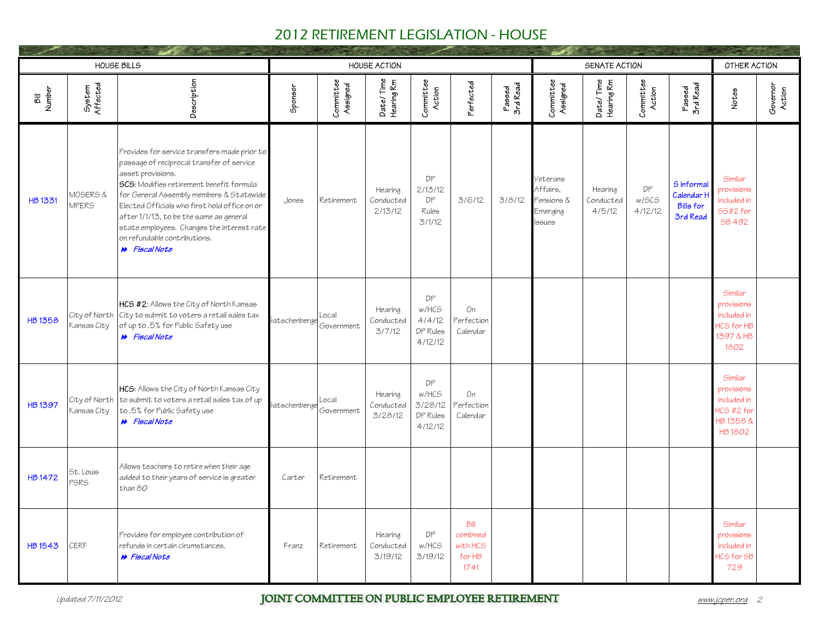|                |                              | <b>HOUSE BILLS</b>                                                                                                                                                                                                                                                                                                                                                                                       |                    |                       | <b>HOUSE ACTION</b>             |                                               |                                                |                    |                                                                 | SENATE ACTION                  |                        |                                                          | OTHER ACTION                                                                     |                    |
|----------------|------------------------------|----------------------------------------------------------------------------------------------------------------------------------------------------------------------------------------------------------------------------------------------------------------------------------------------------------------------------------------------------------------------------------------------------------|--------------------|-----------------------|---------------------------------|-----------------------------------------------|------------------------------------------------|--------------------|-----------------------------------------------------------------|--------------------------------|------------------------|----------------------------------------------------------|----------------------------------------------------------------------------------|--------------------|
| Bill<br>Number | System<br>Affected           | Description                                                                                                                                                                                                                                                                                                                                                                                              | Sponsor            | Committee<br>Assigned | Date/Time<br>Hearing Rm         | Committee<br>Action                           | <sup>2</sup> erfected                          | Passed<br>3rd Read | Committee<br>Assigned                                           | Date/Time<br>Hearing Rm        | Committee<br>Action    | Passed<br>3rd Read                                       | Notes                                                                            | Governor<br>Action |
| <b>HB1331</b>  | MOSERS &<br><b>MPERS</b>     | Provides for service transfers made prior to<br>passage of reciprocal transfer of service<br>asset provisions.<br>SCS: Modifies retirement benefit formula<br>for General Assembly members & Statewide<br>Elected Officials who first hold office on or<br>after 1/1/13, to be the same as general<br>state employees. Changes the interest rate<br>on refundable contributions.<br><b>N</b> Fiscal Note | Jones              | Retirement            | Hearing<br>Conducted<br>2/13/12 | DP<br>2/13/12<br>DP<br>Rules<br>3/1/12        | 3/6/12                                         | 3/8/12             | Veterans<br>Affairs.<br>Pensions &<br>Emerging<br><b>Issues</b> | Hearing<br>Conducted<br>4/5/12 | DP<br>W/SCS<br>4/12/12 | S Informal<br>Calendar H<br><b>Bills for</b><br>3rd Read | Similar<br>provisions<br>included in<br>55#2 for<br>SB 492                       |                    |
| <b>HB1358</b>  | City of North<br>Kansas City | HCS #2: Allows the City of North Kansas<br>City to submit to voters a retail sales tax<br>of up to .5% for Public Safety use<br><b>M</b> Fiscal Note                                                                                                                                                                                                                                                     | .<br>Batschenberge | Local<br>Government   | Hearing<br>Conducted<br>3/7/12  | DP<br>w/HCS<br>4/4/12<br>DP Rules<br>4/12/12  | On<br>Perfection<br>Calendar                   |                    |                                                                 |                                |                        |                                                          | Similar<br>provisions<br>included in<br>HCS for HB<br>1397 & HB<br>1802          |                    |
| <b>HB1397</b>  | City of North<br>Kansas City | HCS: Allows the City of North Kansas City<br>to submit to voters a retail sales tax of up<br>to .5% for Public Safety use<br><b>»</b> Fiscal Note                                                                                                                                                                                                                                                        | Gatschenberge      | Local<br>Government   | Hearing<br>Conducted<br>3/28/12 | DP<br>w/HCS<br>3/28/12<br>DP Rules<br>4/12/12 | On<br>Perfection<br>Calendar                   |                    |                                                                 |                                |                        |                                                          | Similar<br>provisions<br>included in<br>HCS #2 for<br>HB 1358 &<br><b>HB1802</b> |                    |
| <b>HB1472</b>  | St. Louis<br>PSRS            | Allows teachers to retire when their age<br>added to their years of service is greater<br>than 80                                                                                                                                                                                                                                                                                                        | Carter             | Retirement            |                                 |                                               |                                                |                    |                                                                 |                                |                        |                                                          |                                                                                  |                    |
| <b>HB1543</b>  | CERF                         | Provides for employee contribution of<br>refunds in certain cirumstances.<br><b>N</b> Fiscal Note                                                                                                                                                                                                                                                                                                        | Franz              | Retirement            | Hearing<br>Conducted<br>3/19/12 | DP<br>w/HCS<br>3/19/12                        | Bill<br>combined<br>with HCS<br>for HB<br>1741 |                    |                                                                 |                                |                        |                                                          | Similar<br>provisions<br>included in<br><b>ICS for SB</b><br>729                 |                    |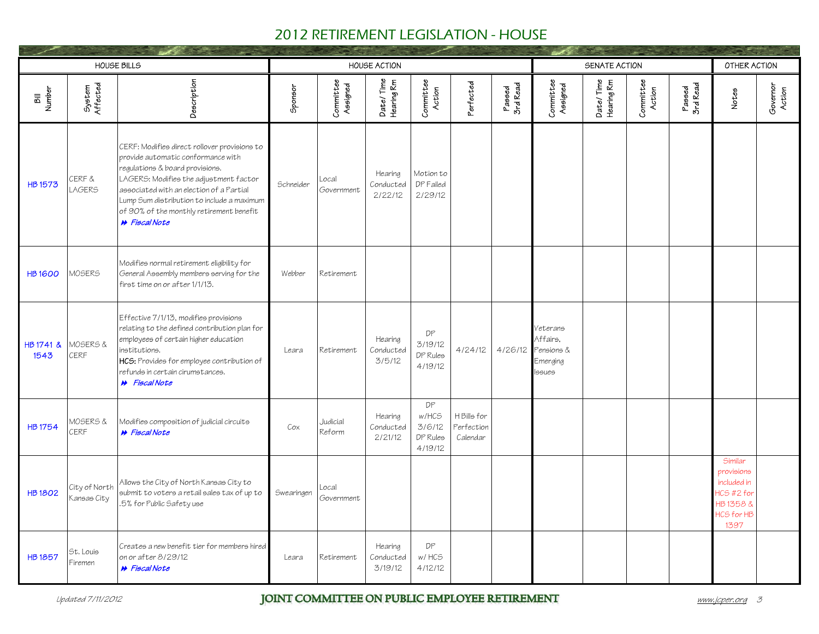|                   |                              | HOUSE BILLS                                                                                                                                                                                                                                                                                                                   |            |                       | <b>HOUSE ACTION</b>             |                                              |                                       |                    |                                                                  | SENATE ACTION           |                     |                    | OTHER ACTION                                                                          |                    |
|-------------------|------------------------------|-------------------------------------------------------------------------------------------------------------------------------------------------------------------------------------------------------------------------------------------------------------------------------------------------------------------------------|------------|-----------------------|---------------------------------|----------------------------------------------|---------------------------------------|--------------------|------------------------------------------------------------------|-------------------------|---------------------|--------------------|---------------------------------------------------------------------------------------|--------------------|
| <b>Number</b>     | System<br>Affected           | Description                                                                                                                                                                                                                                                                                                                   | Sponsor    | Committee<br>Assigned | Date/Time<br>Hearing Rm         | Committee<br>Action                          | <sup>o</sup> erfected                 | Passed<br>3rd Read | Committee<br>Assigned                                            | Date/Time<br>Hearing Rm | Committee<br>Action | Passed<br>3rd Read | Notes                                                                                 | Governor<br>Action |
| <b>HB1573</b>     | CERF &<br><b>LAGERS</b>      | CERF: Modifies direct rollover provisions to<br>provide automatic conformance with<br>regulations & board provisions.<br>LAGERS: Modifies the adjustment factor<br>associated with an election of a Partial<br>Lump Sum distribution to include a maximum<br>of 90% of the monthly retirement benefit<br><b>N</b> Fiscal Note | Schneider  | Local<br>Government   | Hearing<br>Conducted<br>2/22/12 | Motion to<br>DP Failed<br>2/29/12            |                                       |                    |                                                                  |                         |                     |                    |                                                                                       |                    |
| <b>HB1600</b>     | MOSERS                       | Modifies normal retirement eligibility for<br>General Assembly members serving for the<br>first time on or after 1/1/13.                                                                                                                                                                                                      | Webber     | Retirement            |                                 |                                              |                                       |                    |                                                                  |                         |                     |                    |                                                                                       |                    |
| HB 1741 &<br>1543 | MOSERS &<br>CERF             | Effective 7/1/13, modifies provisions<br>relating to the defined contribution plan for<br>employees of certain higher education<br>institutions.<br>HCS: Provides for employee contribution of<br>refunds in certain cirumstances.<br><b>&gt;&gt;</b> Fiscal Note                                                             | Leara      | Retirement            | Hearing<br>Conducted<br>3/5/12  | DP<br>3/19/12<br>DP Rules<br>4/19/12         | 4/24/12                               |                    | Veterans<br>Affairs.<br>4/26/12 Pensions &<br>Emerging<br>lssues |                         |                     |                    |                                                                                       |                    |
| <b>HB1754</b>     | MOSERS &<br>CERF             | Modifies composition of judicial circuits<br><b>&gt;&gt;</b> Fiscal Note                                                                                                                                                                                                                                                      | Cox        | Judicial<br>Reform    | Hearing<br>Conducted<br>2/21/12 | DP<br>w/HCS<br>3/6/12<br>DP Rules<br>4/19/12 | H Bills for<br>Perfection<br>Calendar |                    |                                                                  |                         |                     |                    |                                                                                       |                    |
| <b>HB1802</b>     | City of North<br>Kansas City | Allows the City of North Kansas City to<br>submit to voters a retail sales tax of up to<br>.5% for Public Safety use                                                                                                                                                                                                          | Swearingen | Local<br>Government   |                                 |                                              |                                       |                    |                                                                  |                         |                     |                    | Similar<br>provisions<br>included in<br>HCS #2 for<br>HB 1358 &<br>HCS for HB<br>1397 |                    |
| <b>HB1857</b>     | St. Louis<br>Firemen         | Creates a new benefit tier for members hired<br>on or after 8/29/12<br><b>N</b> Fiscal Note                                                                                                                                                                                                                                   | Leara      | Retirement            | Hearing<br>Conducted<br>3/19/12 | DP<br>w/HCS<br>4/12/12                       |                                       |                    |                                                                  |                         |                     |                    |                                                                                       |                    |